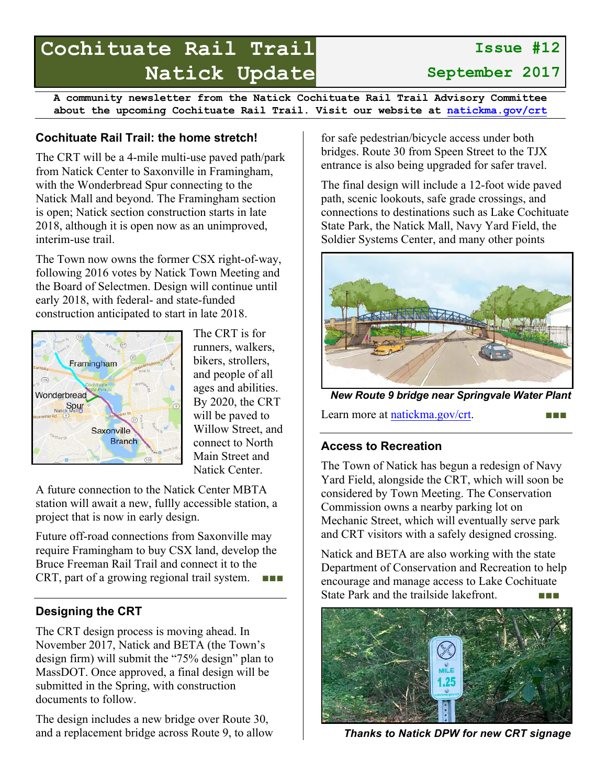# **Cochituate Rail Trail Natick Update**

**A community newsletter from the Natick Cochituate Rail Trail Advisory Committee about the upcoming Cochituate Rail Trail. Visit our website at natickma.gov/crt**

## **Cochituate Rail Trail: the home stretch!**

The CRT will be a 4-mile multi-use paved path/park from Natick Center to Saxonville in Framingham, with the Wonderbread Spur connecting to the Natick Mall and beyond. The Framingham section is open; Natick section construction starts in late 2018, although it is open now as an unimproved, interim-use trail.

The Town now owns the former CSX right-of-way, following 2016 votes by Natick Town Meeting and the Board of Selectmen. Design will continue until early 2018, with federal- and state-funded construction anticipated to start in late 2018.



The CRT is for runners, walkers, bikers, strollers, and people of all ages and abilities. By 2020, the CRT will be paved to Willow Street, and connect to North Main Street and Natick Center.

A future connection to the Natick Center MBTA station will await a new, fullly accessible station, a project that is now in early design.

Future off-road connections from Saxonville may require Framingham to buy CSX land, develop the Bruce Freeman Rail Trail and connect it to the CRT, part of a growing regional trail system.  $\blacksquare$ 

## **Designing the CRT**

The CRT design process is moving ahead. In November 2017, Natick and BETA (the Town's design firm) will submit the "75% design" plan to MassDOT. Once approved, a final design will be submitted in the Spring, with construction documents to follow.

The design includes a new bridge over Route 30, and a replacement bridge across Route 9, to allow for safe pedestrian/bicycle access under both bridges. Route 30 from Speen Street to the TJX entrance is also being upgraded for safer travel.

The final design will include a 12-foot wide paved path, scenic lookouts, safe grade crossings, and connections to destinations such as Lake Cochituate State Park, the Natick Mall, Navy Yard Field, the Soldier Systems Center, and many other points



*New Route 9 bridge near Springvale Water Plant*

Learn more at natickma.gov/crt.

## **Access to Recreation**

The Town of Natick has begun a redesign of Navy Yard Field, alongside the CRT, which will soon be considered by Town Meeting. The Conservation Commission owns a nearby parking lot on Mechanic Street, which will eventually serve park and CRT visitors with a safely designed crossing.

Natick and BETA are also working with the state Department of Conservation and Recreation to help encourage and manage access to Lake Cochituate State Park and the trailside lakefront.



*Thanks to Natick DPW for new CRT signage*

**September 2017**